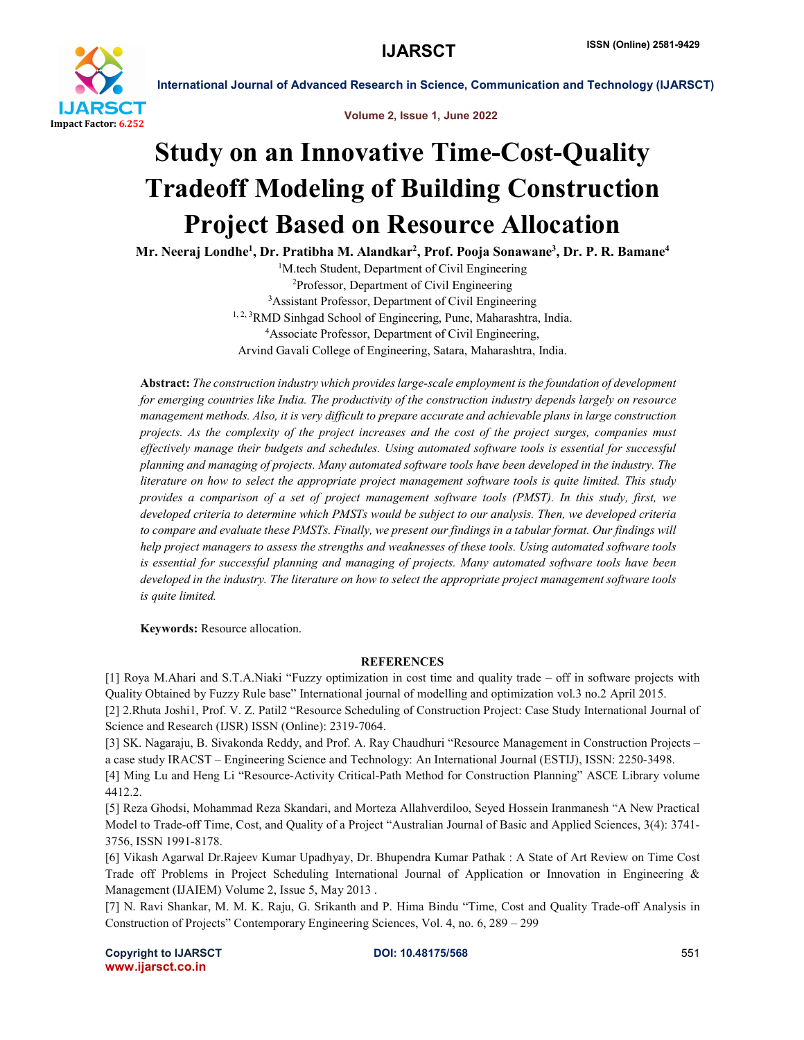

International Journal of Advanced Research in Science, Communication and Technology (IJARSCT)

Volume 2, Issue 1, June 2022

## Study on an Innovative Time-Cost-Quality Tradeoff Modeling of Building Construction Project Based on Resource Allocation

Mr. Neeraj Londhe<sup>1</sup>, Dr. Pratibha M. Alandkar<sup>2</sup>, Prof. Pooja Sonawane<sup>3</sup>, Dr. P. R. Bamane<sup>4</sup>

<sup>1</sup>M.tech Student, Department of Civil Engineering 2 Professor, Department of Civil Engineering 3 Assistant Professor, Department of Civil Engineering <sup>1, 2, 3</sup>RMD Sinhgad School of Engineering, Pune, Maharashtra, India. 4 Associate Professor, Department of Civil Engineering, Arvind Gavali College of Engineering, Satara, Maharashtra, India.

Abstract: *The construction industry which provides large-scale employment is the foundation of development for emerging countries like India. The productivity of the construction industry depends largely on resource management methods. Also, it is very difficult to prepare accurate and achievable plans in large construction projects. As the complexity of the project increases and the cost of the project surges, companies must effectively manage their budgets and schedules. Using automated software tools is essential for successful planning and managing of projects. Many automated software tools have been developed in the industry. The literature on how to select the appropriate project management software tools is quite limited. This study provides a comparison of a set of project management software tools (PMST). In this study, first, we developed criteria to determine which PMSTs would be subject to our analysis. Then, we developed criteria* to compare and evaluate these PMSTs. Finally, we present our findings in a tabular format. Our findings will *help project managers to assess the strengths and weaknesses of these tools. Using automated software tools is essential for successful planning and managing of projects. Many automated software tools have been developed in the industry. The literature on how to select the appropriate project management software tools is quite limited.*

Keywords: Resource allocation.

## **REFERENCES**

[1] Roya M.Ahari and S.T.A.Niaki "Fuzzy optimization in cost time and quality trade – off in software projects with Quality Obtained by Fuzzy Rule base" International journal of modelling and optimization vol.3 no.2 April 2015. [2] 2.Rhuta Joshi1, Prof. V. Z. Patil2 "Resource Scheduling of Construction Project: Case Study International Journal of Science and Research (IJSR) ISSN (Online): 2319-7064.

[3] SK. Nagaraju, B. Sivakonda Reddy, and Prof. A. Ray Chaudhuri "Resource Management in Construction Projects – a case study IRACST – Engineering Science and Technology: An International Journal (ESTIJ), ISSN: 2250-3498.

[4] Ming Lu and Heng Li "Resource-Activity Critical-Path Method for Construction Planning" ASCE Library volume 4412.2.

[5] Reza Ghodsi, Mohammad Reza Skandari, and Morteza Allahverdiloo, Seyed Hossein Iranmanesh "A New Practical Model to Trade-off Time, Cost, and Quality of a Project "Australian Journal of Basic and Applied Sciences, 3(4): 3741- 3756, ISSN 1991-8178.

[6] Vikash Agarwal Dr.Rajeev Kumar Upadhyay, Dr. Bhupendra Kumar Pathak : A State of Art Review on Time Cost Trade off Problems in Project Scheduling International Journal of Application or Innovation in Engineering & Management (IJAIEM) Volume 2, Issue 5, May 2013 .

[7] N. Ravi Shankar, M. M. K. Raju, G. Srikanth and P. Hima Bindu "Time, Cost and Quality Trade-off Analysis in Construction of Projects" Contemporary Engineering Sciences, Vol. 4, no. 6, 289 – 299

Copyright to IJARSCT **DOI: 10.48175/568** 551 www.ijarsct.co.in